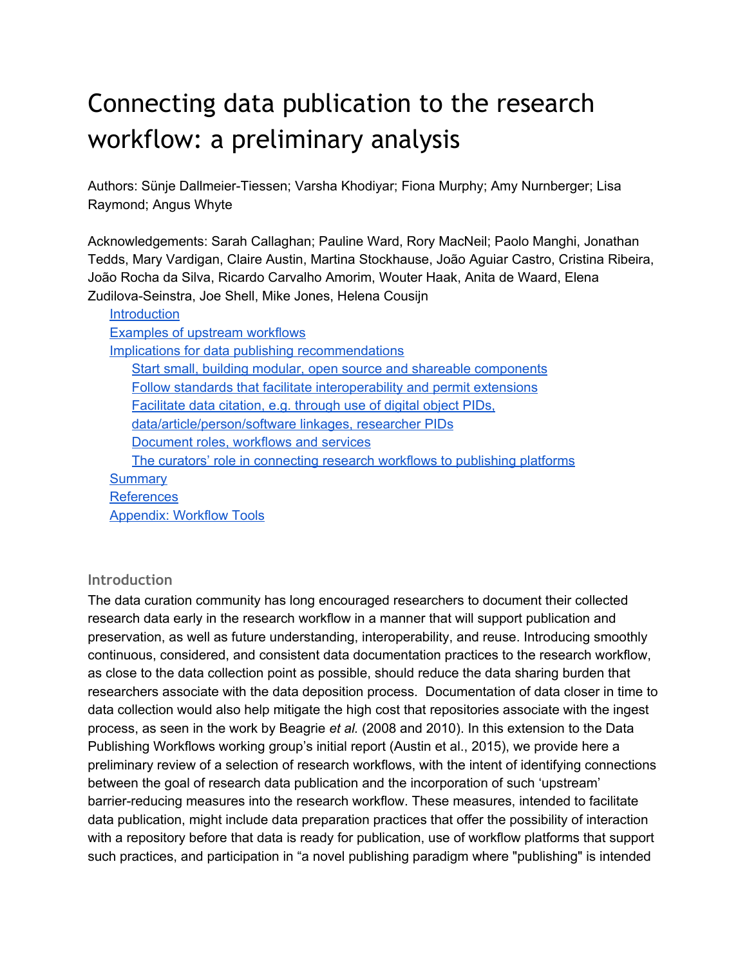# Connecting data publication to the research workflow: a preliminary analysis

Authors: Sünje Dallmeier-Tiessen; Varsha Khodiyar; Fiona Murphy; Amy Nurnberger; Lisa Raymond; Angus Whyte

Acknowledgements: Sarah Callaghan; Pauline Ward, Rory MacNeil; Paolo Manghi, Jonathan Tedds, Mary Vardigan, Claire Austin, Martina Stockhause, João Aguiar Castro, Cristina Ribeira, João Rocha da Silva, Ricardo Carvalho Amorim, Wouter Haak, Anita de Waard, Elena Zudilova-Seinstra, Joe Shell, Mike Jones, Helena Cousijn

| <b>Introduction</b>                                                         |
|-----------------------------------------------------------------------------|
| <b>Examples of upstream workflows</b>                                       |
| Implications for data publishing recommendations                            |
| Start small, building modular, open source and shareable components         |
| Follow standards that facilitate interoperability and permit extensions     |
| Facilitate data citation, e.g. through use of digital object PIDs,          |
| data/article/person/software linkages, researcher PIDs                      |
| Document roles, workflows and services                                      |
| The curators' role in connecting research workflows to publishing platforms |
| <b>Summary</b>                                                              |
| <b>References</b>                                                           |
| <b>Appendix: Workflow Tools</b>                                             |

## <span id="page-0-0"></span>**Introduction**

The data curation community has long encouraged researchers to document their collected research data early in the research workflow in a manner that will support publication and preservation, as well as future understanding, interoperability, and reuse. Introducing smoothly continuous, considered, and consistent data documentation practices to the research workflow, as close to the data collection point as possible, should reduce the data sharing burden that researchers associate with the data deposition process. Documentation of data closer in time to data collection would also help mitigate the high cost that repositories associate with the ingest process, as seen in the work by Beagrie *et al.* (2008 and 2010). In this extension to the Data Publishing Workflows working group's initial report (Austin et al., 2015), we provide here a preliminary review of a selection of research workflows, with the intent of identifying connections between the goal of research data publication and the incorporation of such 'upstream' barrier-reducing measures into the research workflow. These measures, intended to facilitate data publication, might include data preparation practices that offer the possibility of interaction with a repository before that data is ready for publication, use of workflow platforms that support such practices, and participation in "a novel publishing paradigm where "publishing" is intended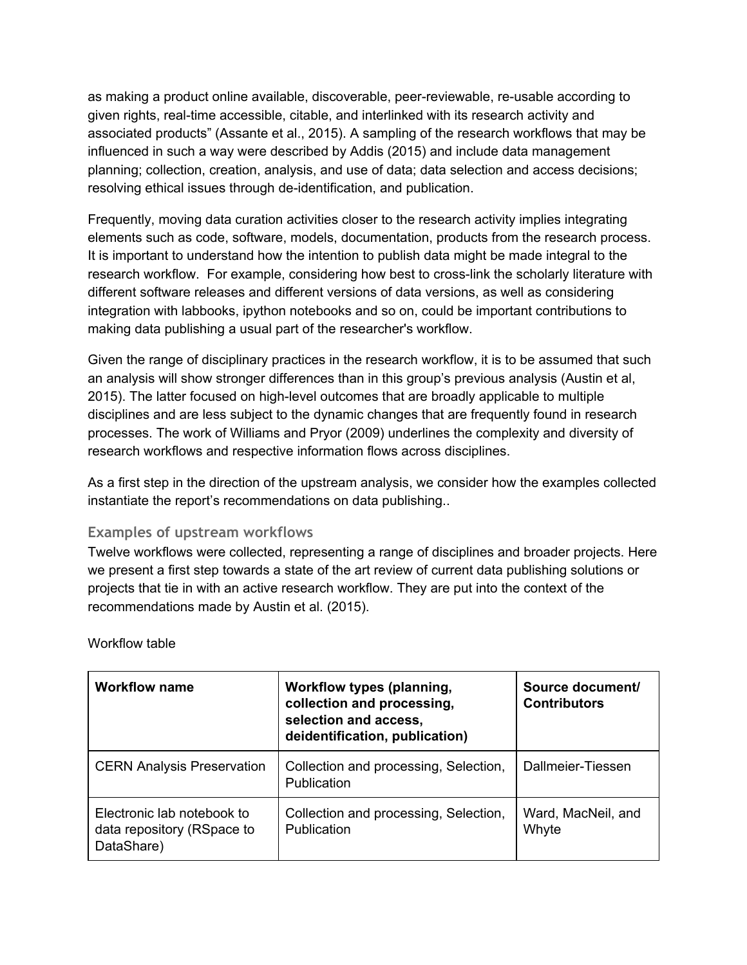as making a product online available, discoverable, peer-reviewable, re-usable according to given rights, real-time accessible, citable, and interlinked with its research activity and associated products" (Assante et al., 2015). A sampling of the research workflows that may be influenced in such a way were described by Addis (2015) and include data management planning; collection, creation, analysis, and use of data; data selection and access decisions; resolving ethical issues through de-identification, and publication.

Frequently, moving data curation activities closer to the research activity implies integrating elements such as code, software, models, documentation, products from the research process. It is important to understand how the intention to publish data might be made integral to the research workflow. For example, considering how best to cross-link the scholarly literature with different software releases and different versions of data versions, as well as considering integration with labbooks, ipython notebooks and so on, could be important contributions to making data publishing a usual part of the researcher's workflow.

Given the range of disciplinary practices in the research workflow, it is to be assumed that such an analysis will show stronger differences than in this group's previous analysis (Austin et al, 2015). The latter focused on high-level outcomes that are broadly applicable to multiple disciplines and are less subject to the dynamic changes that are frequently found in research processes. The work of Williams and Pryor (2009) underlines the complexity and diversity of research workflows and respective information flows across disciplines.

As a first step in the direction of the upstream analysis, we consider how the examples collected instantiate the report's recommendations on data publishing..

## <span id="page-1-0"></span>**Examples of upstream workflows**

Twelve workflows were collected, representing a range of disciplines and broader projects. Here we present a first step towards a state of the art review of current data publishing solutions or projects that tie in with an active research workflow. They are put into the context of the recommendations made by Austin et al. (2015).

| <b>Workflow name</b>                                                   | <b>Workflow types (planning,</b><br>collection and processing,<br>selection and access,<br>deidentification, publication) | Source document/<br><b>Contributors</b> |
|------------------------------------------------------------------------|---------------------------------------------------------------------------------------------------------------------------|-----------------------------------------|
| <b>CERN Analysis Preservation</b>                                      | Collection and processing, Selection,<br>Publication                                                                      | Dallmeier-Tiessen                       |
| Electronic lab notebook to<br>data repository (RSpace to<br>DataShare) | Collection and processing, Selection,<br>Publication                                                                      | Ward, MacNeil, and<br>Whyte             |

Workflow table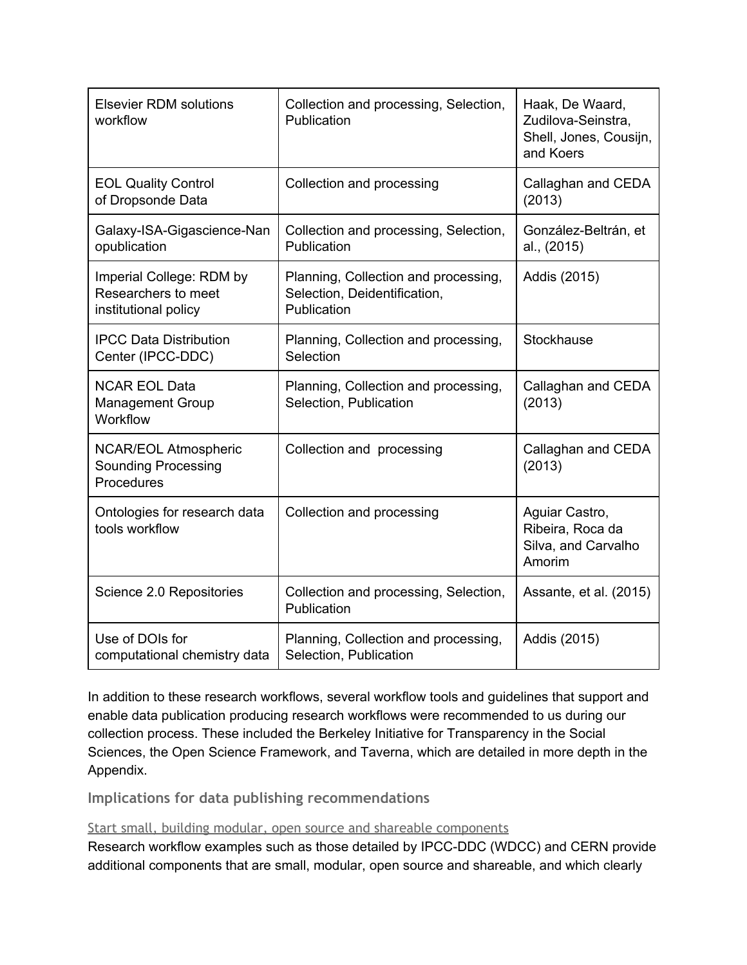| <b>Elsevier RDM solutions</b><br>workflow                               | Collection and processing, Selection,<br>Publication                                | Haak, De Waard,<br>Zudilova-Seinstra,<br>Shell, Jones, Cousijn,<br>and Koers |
|-------------------------------------------------------------------------|-------------------------------------------------------------------------------------|------------------------------------------------------------------------------|
| <b>EOL Quality Control</b><br>of Dropsonde Data                         | Collection and processing                                                           | Callaghan and CEDA<br>(2013)                                                 |
| Galaxy-ISA-Gigascience-Nan<br>opublication                              | Collection and processing, Selection,<br>Publication                                | González-Beltrán, et<br>al., (2015)                                          |
| Imperial College: RDM by<br>Researchers to meet<br>institutional policy | Planning, Collection and processing,<br>Selection, Deidentification,<br>Publication | Addis (2015)                                                                 |
| <b>IPCC Data Distribution</b><br>Center (IPCC-DDC)                      | Planning, Collection and processing,<br>Selection                                   | Stockhause                                                                   |
| <b>NCAR EOL Data</b><br><b>Management Group</b><br>Workflow             | Planning, Collection and processing,<br>Selection, Publication                      | Callaghan and CEDA<br>(2013)                                                 |
| <b>NCAR/EOL Atmospheric</b><br><b>Sounding Processing</b><br>Procedures | Collection and processing                                                           | Callaghan and CEDA<br>(2013)                                                 |
| Ontologies for research data<br>tools workflow                          | Collection and processing                                                           | Aguiar Castro,<br>Ribeira, Roca da<br>Silva, and Carvalho<br>Amorim          |
| Science 2.0 Repositories                                                | Collection and processing, Selection,<br>Publication                                | Assante, et al. (2015)                                                       |
| Use of DOIs for<br>computational chemistry data                         | Planning, Collection and processing,<br>Selection, Publication                      | Addis (2015)                                                                 |

In addition to these research workflows, several workflow tools and guidelines that support and enable data publication producing research workflows were recommended to us during our collection process. These included the Berkeley Initiative for Transparency in the Social Sciences, the Open Science Framework, and Taverna, which are detailed in more depth in the Appendix.

<span id="page-2-0"></span>**Implications for data publishing recommendations**

<span id="page-2-1"></span>Start small, building modular, open source and shareable components

Research workflow examples such as those detailed by IPCC-DDC (WDCC) and CERN provide additional components that are small, modular, open source and shareable, and which clearly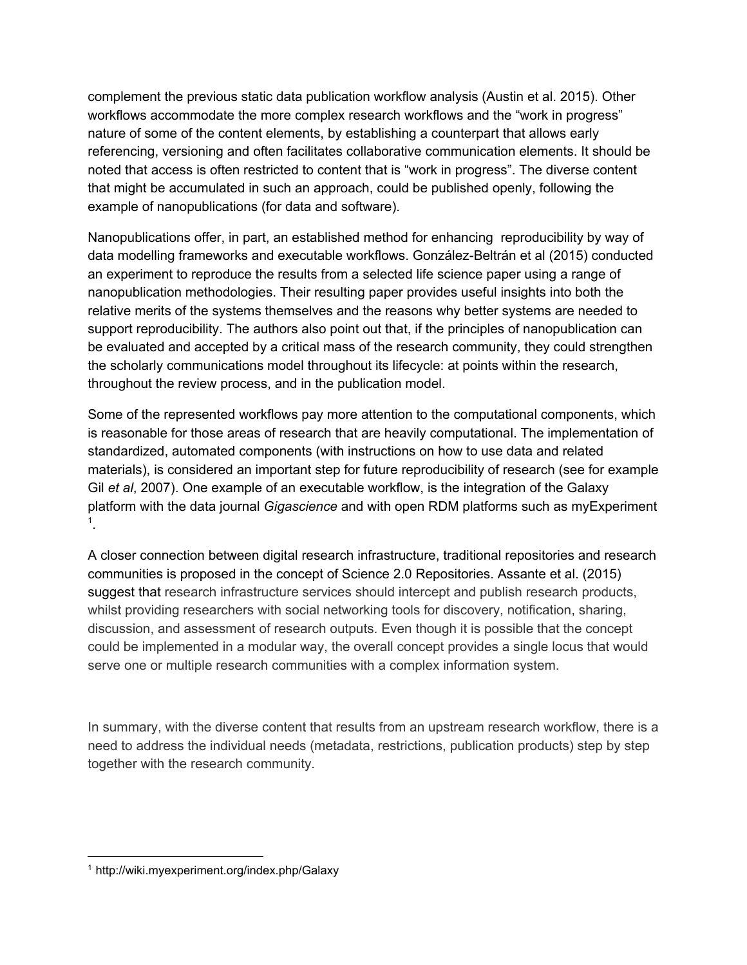complement the previous static data publication workflow analysis (Austin et al. 2015). Other workflows accommodate the more complex research workflows and the "work in progress" nature of some of the content elements, by establishing a counterpart that allows early referencing, versioning and often facilitates collaborative communication elements. It should be noted that access is often restricted to content that is "work in progress". The diverse content that might be accumulated in such an approach, could be published openly, following the example of nanopublications (for data and software).

Nanopublications offer, in part, an established method for enhancing reproducibility by way of data modelling frameworks and executable workflows. González-Beltrán et al (2015) conducted an experiment to reproduce the results from a selected life science paper using a range of nanopublication methodologies. Their resulting paper provides useful insights into both the relative merits of the systems themselves and the reasons why better systems are needed to support reproducibility. The authors also point out that, if the principles of nanopublication can be evaluated and accepted by a critical mass of the research community, they could strengthen the scholarly communications model throughout its lifecycle: at points within the research, throughout the review process, and in the publication model.

Some of the represented workflows pay more attention to the computational components, which is reasonable for those areas of research that are heavily computational. The implementation of standardized, automated components (with instructions on how to use data and related materials), is considered an important step for future reproducibility of research (see for example Gil *et al*, 2007). One example of an executable workflow, is the integration of the Galaxy platform with the data journal *Gigascience* and with open RDM platforms such as myExperiment . 1

A closer connection between digital research infrastructure, traditional repositories and research communities is proposed in the concept of Science 2.0 Repositories. Assante et al. (2015) suggest that research infrastructure services should intercept and publish research products, whilst providing researchers with social networking tools for discovery, notification, sharing, discussion, and assessment of research outputs. Even though it is possible that the concept could be implemented in a modular way, the overall concept provides a single locus that would serve one or multiple research communities with a complex information system.

In summary, with the diverse content that results from an upstream research workflow, there is a need to address the individual needs (metadata, restrictions, publication products) step by step together with the research community.

<sup>1</sup> http://wiki.myexperiment.org/index.php/Galaxy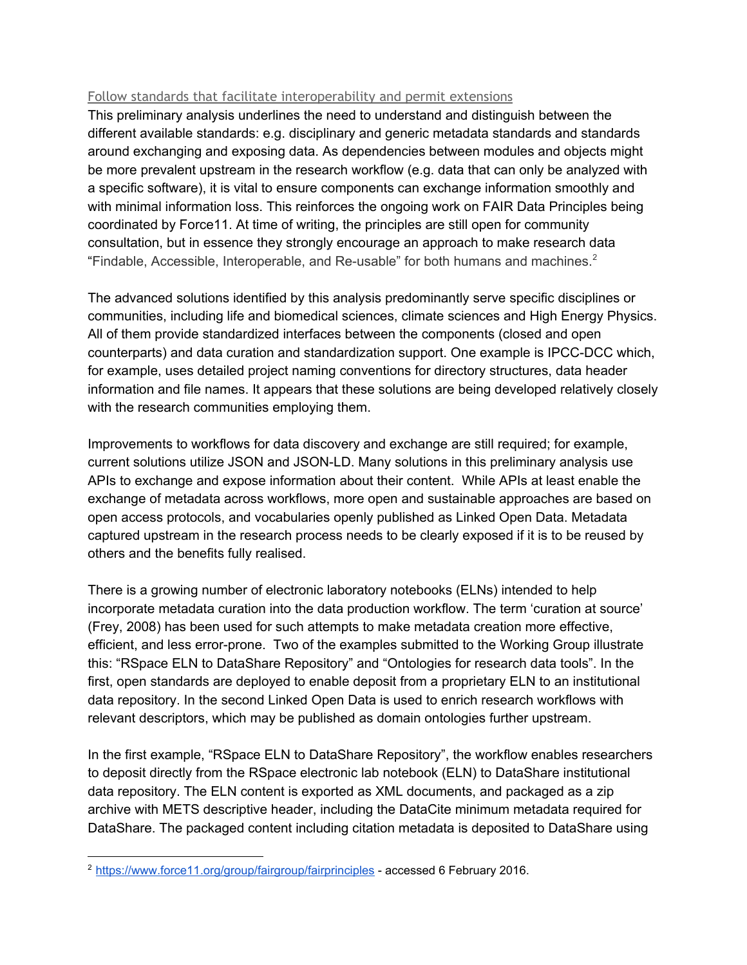#### <span id="page-4-0"></span>Follow standards that facilitate interoperability and permit extensions

This preliminary analysis underlines the need to understand and distinguish between the different available standards: e.g. disciplinary and generic metadata standards and standards around exchanging and exposing data. As dependencies between modules and objects might be more prevalent upstream in the research workflow (e.g. data that can only be analyzed with a specific software), it is vital to ensure components can exchange information smoothly and with minimal information loss. This reinforces the ongoing work on FAIR Data Principles being coordinated by Force11. At time of writing, the principles are still open for community consultation, but in essence they strongly encourage an approach to make research data "Findable, Accessible, Interoperable, and Re-usable" for both humans and machines. $2$ 

The advanced solutions identified by this analysis predominantly serve specific disciplines or communities, including life and biomedical sciences, climate sciences and High Energy Physics. All of them provide standardized interfaces between the components (closed and open counterparts) and data curation and standardization support. One example is IPCC-DCC which, for example, uses detailed project naming conventions for directory structures, data header information and file names. It appears that these solutions are being developed relatively closely with the research communities employing them.

Improvements to workflows for data discovery and exchange are still required; for example, current solutions utilize JSON and JSON-LD. Many solutions in this preliminary analysis use APIs to exchange and expose information about their content. While APIs at least enable the exchange of metadata across workflows, more open and sustainable approaches are based on open access protocols, and vocabularies openly published as Linked Open Data. Metadata captured upstream in the research process needs to be clearly exposed if it is to be reused by others and the benefits fully realised.

There is a growing number of electronic laboratory notebooks (ELNs) intended to help incorporate metadata curation into the data production workflow. The term 'curation at source' (Frey, 2008) has been used for such attempts to make metadata creation more effective, efficient, and less error-prone. Two of the examples submitted to the Working Group illustrate this: "RSpace ELN to DataShare Repository" and "Ontologies for research data tools". In the first, open standards are deployed to enable deposit from a proprietary ELN to an institutional data repository. In the second Linked Open Data is used to enrich research workflows with relevant descriptors, which may be published as domain ontologies further upstream.

In the first example, "RSpace ELN to DataShare Repository", the workflow enables researchers to deposit directly from the RSpace electronic lab notebook (ELN) to DataShare institutional data repository. The ELN content is exported as XML documents, and packaged as a zip archive with METS descriptive header, including the DataCite minimum metadata required for DataShare. The packaged content including citation metadata is deposited to DataShare using

<sup>&</sup>lt;sup>2</sup> <https://www.force11.org/group/fairgroup/fairprinciples> - accessed 6 February 2016.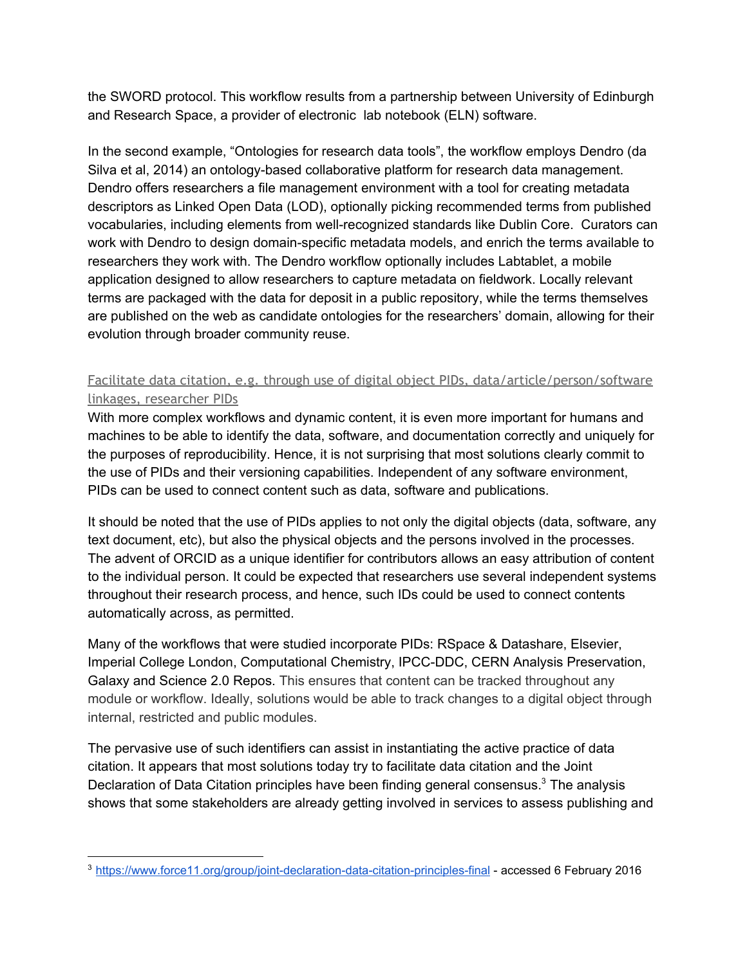the SWORD protocol. This workflow results from a partnership between University of Edinburgh and Research Space, a provider of electronic lab notebook (ELN) software.

In the second example, "Ontologies for research data tools", the workflow employs Dendro (da Silva et al, 2014) an ontology-based collaborative platform for research data management. Dendro offers researchers a file management environment with a tool for creating metadata descriptors as Linked Open Data (LOD), optionally picking recommended terms from published vocabularies, including elements from well-recognized standards like Dublin Core. Curators can work with Dendro to design domain-specific metadata models, and enrich the terms available to researchers they work with. The Dendro workflow optionally includes Labtablet, a mobile application designed to allow researchers to capture metadata on fieldwork. Locally relevant terms are packaged with the data for deposit in a public repository, while the terms themselves are published on the web as candidate ontologies for the researchers' domain, allowing for their evolution through broader community reuse.

# <span id="page-5-0"></span>Facilitate data citation, e.g. through use of digital object PIDs, data/article/person/software linkages, researcher PIDs

With more complex workflows and dynamic content, it is even more important for humans and machines to be able to identify the data, software, and documentation correctly and uniquely for the purposes of reproducibility. Hence, it is not surprising that most solutions clearly commit to the use of PIDs and their versioning capabilities. Independent of any software environment, PIDs can be used to connect content such as data, software and publications.

It should be noted that the use of PIDs applies to not only the digital objects (data, software, any text document, etc), but also the physical objects and the persons involved in the processes. The advent of ORCID as a unique identifier for contributors allows an easy attribution of content to the individual person. It could be expected that researchers use several independent systems throughout their research process, and hence, such IDs could be used to connect contents automatically across, as permitted.

Many of the workflows that were studied incorporate PIDs: RSpace & Datashare, Elsevier, Imperial College London, Computational Chemistry, IPCC-DDC, CERN Analysis Preservation, Galaxy and Science 2.0 Repos. This ensures that content can be tracked throughout any module or workflow. Ideally, solutions would be able to track changes to a digital object through internal, restricted and public modules.

The pervasive use of such identifiers can assist in instantiating the active practice of data citation. It appears that most solutions today try to facilitate data citation and the Joint Declaration of Data Citation principles have been finding general consensus.<sup>3</sup> The analysis shows that some stakeholders are already getting involved in services to assess publishing and

<sup>&</sup>lt;sup>3</sup> https://www.force11.org/group/joint-declaration-data-citation-principles-final - accessed 6 February 2016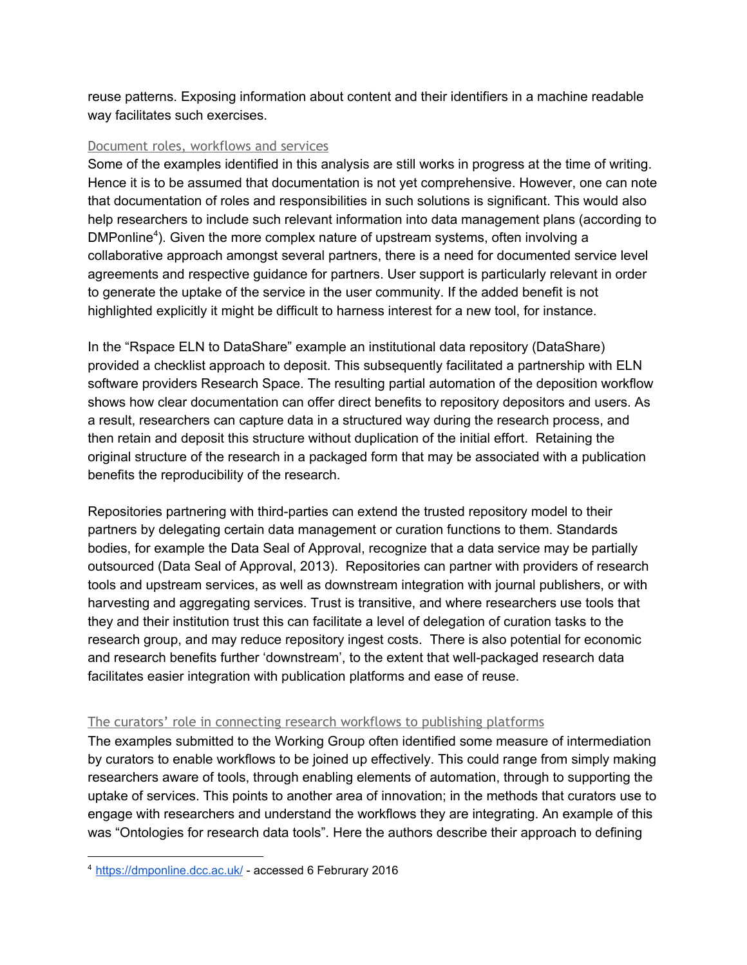reuse patterns. Exposing information about content and their identifiers in a machine readable way facilitates such exercises.

#### <span id="page-6-0"></span>Document roles, workflows and services

Some of the examples identified in this analysis are still works in progress at the time of writing. Hence it is to be assumed that documentation is not yet comprehensive. However, one can note that documentation of roles and responsibilities in such solutions is significant. This would also help researchers to include such relevant information into data management plans (according to DMPonline<sup>4</sup>). Given the more complex nature of upstream systems, often involving a collaborative approach amongst several partners, there is a need for documented service level agreements and respective guidance for partners. User support is particularly relevant in order to generate the uptake of the service in the user community. If the added benefit is not highlighted explicitly it might be difficult to harness interest for a new tool, for instance.

In the "Rspace ELN to DataShare" example an institutional data repository (DataShare) provided a checklist approach to deposit. This subsequently facilitated a partnership with ELN software providers Research Space. The resulting partial automation of the deposition workflow shows how clear documentation can offer direct benefits to repository depositors and users. As a result, researchers can capture data in a structured way during the research process, and then retain and deposit this structure without duplication of the initial effort. Retaining the original structure of the research in a packaged form that may be associated with a publication benefits the reproducibility of the research.

Repositories partnering with third-parties can extend the trusted repository model to their partners by delegating certain data management or curation functions to them. Standards bodies, for example the Data Seal of Approval, recognize that a data service may be partially outsourced (Data Seal of Approval, 2013). Repositories can partner with providers of research tools and upstream services, as well as downstream integration with journal publishers, or with harvesting and aggregating services. Trust is transitive, and where researchers use tools that they and their institution trust this can facilitate a level of delegation of curation tasks to the research group, and may reduce repository ingest costs. There is also potential for economic and research benefits further 'downstream', to the extent that well-packaged research data facilitates easier integration with publication platforms and ease of reuse.

#### <span id="page-6-1"></span>The curators' role in connecting research workflows to publishing platforms

The examples submitted to the Working Group often identified some measure of intermediation by curators to enable workflows to be joined up effectively. This could range from simply making researchers aware of tools, through enabling elements of automation, through to supporting the uptake of services. This points to another area of innovation; in the methods that curators use to engage with researchers and understand the workflows they are integrating. An example of this was "Ontologies for research data tools". Here the authors describe their approach to defining

<sup>4</sup> <https://dmponline.dcc.ac.uk/> accessed 6 Februrary 2016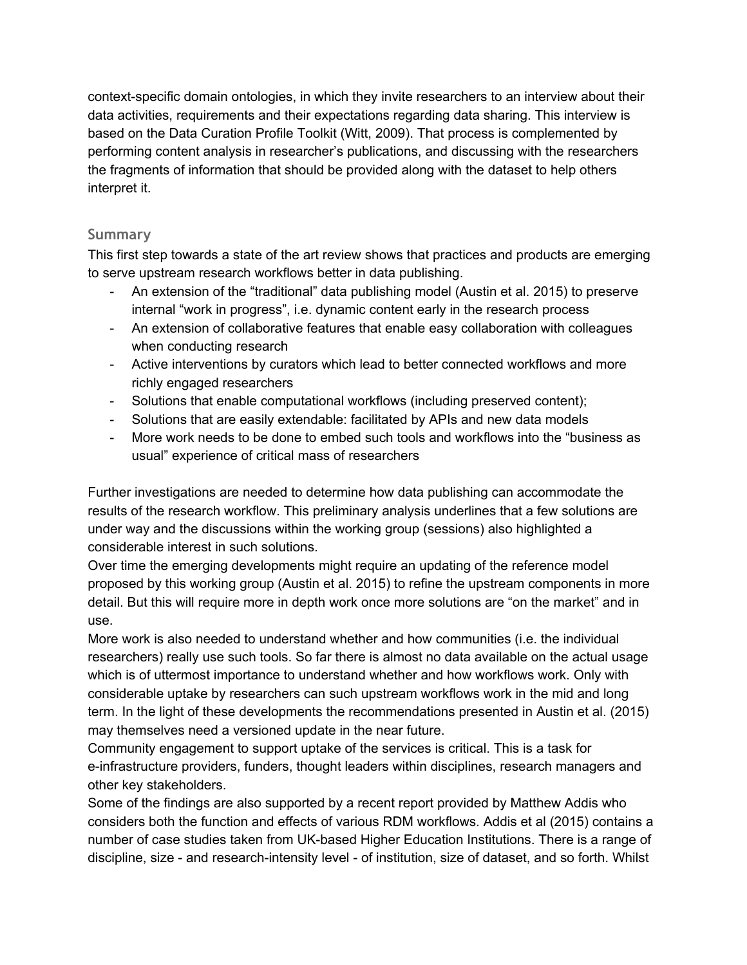context-specific domain ontologies, in which they invite researchers to an interview about their data activities, requirements and their expectations regarding data sharing. This interview is based on the Data Curation Profile Toolkit (Witt, 2009). That process is complemented by performing content analysis in researcher's publications, and discussing with the researchers the fragments of information that should be provided along with the dataset to help others interpret it.

# <span id="page-7-0"></span>**Summary**

This first step towards a state of the art review shows that practices and products are emerging to serve upstream research workflows better in data publishing.

- An extension of the "traditional" data publishing model (Austin et al. 2015) to preserve internal "work in progress", i.e. dynamic content early in the research process
- An extension of collaborative features that enable easy collaboration with colleagues when conducting research
- Active interventions by curators which lead to better connected workflows and more richly engaged researchers
- Solutions that enable computational workflows (including preserved content);
- Solutions that are easily extendable: facilitated by APIs and new data models
- More work needs to be done to embed such tools and workflows into the "business as usual" experience of critical mass of researchers

Further investigations are needed to determine how data publishing can accommodate the results of the research workflow. This preliminary analysis underlines that a few solutions are under way and the discussions within the working group (sessions) also highlighted a considerable interest in such solutions.

Over time the emerging developments might require an updating of the reference model proposed by this working group (Austin et al. 2015) to refine the upstream components in more detail. But this will require more in depth work once more solutions are "on the market" and in use.

More work is also needed to understand whether and how communities (i.e. the individual researchers) really use such tools. So far there is almost no data available on the actual usage which is of uttermost importance to understand whether and how workflows work. Only with considerable uptake by researchers can such upstream workflows work in the mid and long term. In the light of these developments the recommendations presented in Austin et al. (2015) may themselves need a versioned update in the near future.

Community engagement to support uptake of the services is critical. This is a task for einfrastructure providers, funders, thought leaders within disciplines, research managers and other key stakeholders.

Some of the findings are also supported by a recent report provided by Matthew Addis who considers both the function and effects of various RDM workflows. Addis et al (2015) contains a number of case studies taken from UK-based Higher Education Institutions. There is a range of discipline, size - and research-intensity level - of institution, size of dataset, and so forth. Whilst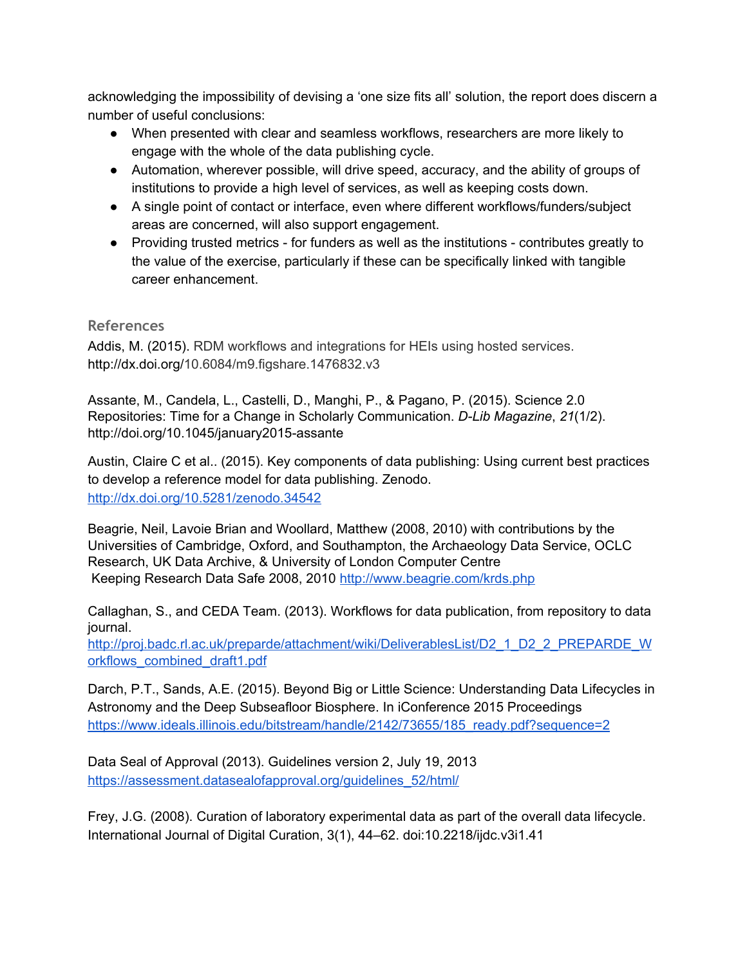acknowledging the impossibility of devising a 'one size fits all' solution, the report does discern a number of useful conclusions:

- When presented with clear and seamless workflows, researchers are more likely to engage with the whole of the data publishing cycle.
- Automation, wherever possible, will drive speed, accuracy, and the ability of groups of institutions to provide a high level of services, as well as keeping costs down.
- A single point of contact or interface, even where different workflows/funders/subject areas are concerned, will also support engagement.
- Providing trusted metrics for funders as well as the institutions contributes greatly to the value of the exercise, particularly if these can be specifically linked with tangible career enhancement.

# <span id="page-8-0"></span>**References**

Addis, M. (2015). RDM workflows and integrations for HEIs using hosted services. http://dx.doi.org/10.6084/m9.figshare.1476832.v3

Assante, M., Candela, L., Castelli, D., Manghi, P., & Pagano, P. (2015). Science 2.0 Repositories: Time for a Change in Scholarly Communication. *DLib Magazine*, *21*(1/2). http://doi.org/10.1045/january2015-assante

Austin, Claire C et al.. (2015). Key components of data publishing: Using current best practices to develop a reference model for data publishing. Zenodo. <http://dx.doi.org/10.5281/zenodo.34542>

Beagrie, Neil, Lavoie Brian and Woollard, Matthew (2008, 2010) with contributions by the Universities of Cambridge, Oxford, and Southampton, the Archaeology Data Service, OCLC Research, UK Data Archive, & University of London Computer Centre Keeping Research Data Safe 2008, 2010 <http://www.beagrie.com/krds.php>

Callaghan, S., and CEDA Team. (2013). Workflows for data publication, from repository to data journal.

[http://proj.badc.rl.ac.uk/preparde/attachment/wiki/DeliverablesList/D2\\_1\\_D2\\_2\\_PREPARDE\\_W](http://proj.badc.rl.ac.uk/preparde/attachment/wiki/DeliverablesList/D2_1_D2_2_PREPARDE_Workflows_combined_draft1.pdf) [orkflows\\_combined\\_draft1.pdf](http://proj.badc.rl.ac.uk/preparde/attachment/wiki/DeliverablesList/D2_1_D2_2_PREPARDE_Workflows_combined_draft1.pdf)

Darch, P.T., Sands, A.E. (2015). Beyond Big or Little Science: Understanding Data Lifecycles in Astronomy and the Deep Subseafloor Biosphere. In iConference 2015 Proceedings [https://www.ideals.illinois.edu/bitstream/handle/2142/73655/185\\_ready.pdf?sequence=2](https://www.ideals.illinois.edu/bitstream/handle/2142/73655/185_ready.pdf?sequence=2)

Data Seal of Approval (2013). Guidelines version 2, July 19, 2013 [https://assessment.datasealofapproval.org/guidelines\\_52/html/](https://assessment.datasealofapproval.org/guidelines_52/html/)

Frey, J.G. (2008). Curation of laboratory experimental data as part of the overall data lifecycle. International Journal of Digital Curation, 3(1), 44–62. doi:10.2218/ijdc.v3i1.41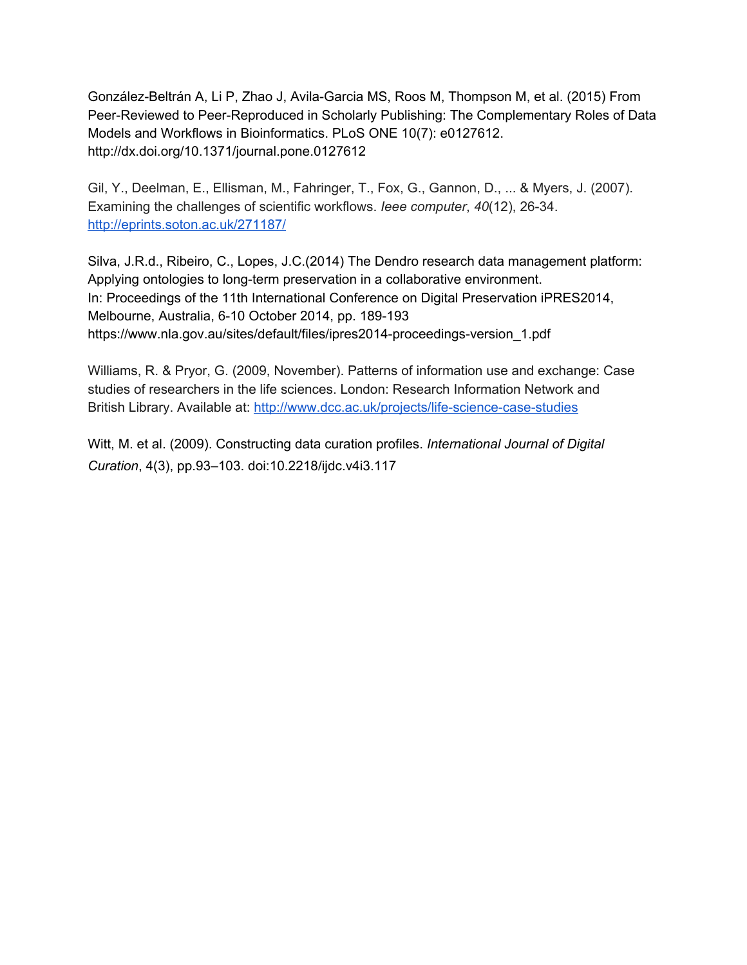González-Beltrán A, Li P, Zhao J, Avila-Garcia MS, Roos M, Thompson M, et al. (2015) From Peer-Reviewed to Peer-Reproduced in Scholarly Publishing: The Complementary Roles of Data Models and Workflows in Bioinformatics. PLoS ONE 10(7): e0127612. http://dx.doi.org/10.1371/journal.pone.0127612

Gil, Y., Deelman, E., Ellisman, M., Fahringer, T., Fox, G., Gannon, D., ... & Myers, J. (2007). Examining the challenges of scientific workflows. *Ieee computer*, *40*(12), 2634. <http://eprints.soton.ac.uk/271187/>

Silva, J.R.d., Ribeiro, C., Lopes, J.C.(2014) The Dendro research data management platform: Applying ontologies to long-term preservation in a collaborative environment. In: Proceedings of the 11th International Conference on Digital Preservation iPRES2014, Melbourne, Australia, 6-10 October 2014, pp. 189-193 https://www.nla.gov.au/sites/default/files/ipres2014-proceedings-version\_1.pdf

Williams, R. & Pryor, G. (2009, November). Patterns of information use and exchange: Case studies of researchers in the life sciences. London: Research Information Network and British Library. Available at: http://www.dcc.ac.uk/projects/life-science-case-studies

Witt, M. et al. (2009). Constructing data curation profiles. *International Journal of Digital Curation*, 4(3), pp.93–103. doi:10.2218/ijdc.v4i3.117